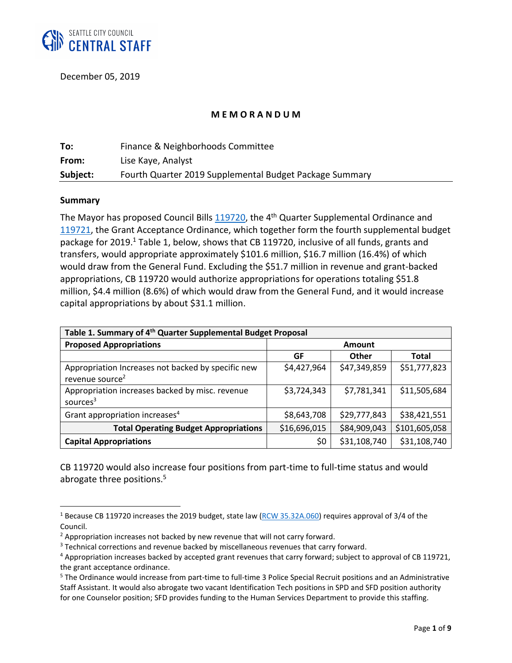

December 05, 2019

#### **M E M O R A N D U M**

| To:      | Finance & Neighborhoods Committee                       |
|----------|---------------------------------------------------------|
| From:    | Lise Kaye, Analyst                                      |
| Subject: | Fourth Quarter 2019 Supplemental Budget Package Summary |

#### **Summary**

 $\overline{\phantom{a}}$ 

The Mayor has proposed Council Bills [119720,](http://seattle.legistar.com/LegislationDetail.aspx?ID=4268630&GUID=F2B45685-BFE7-4660-A86A-4EC136B10351&Options=ID|Text|&Search=11972) the 4<sup>th</sup> Quarter Supplemental Ordinance and [119721,](http://seattle.legistar.com/LegislationDetail.aspx?ID=4268631&GUID=AF1B5CA7-A51C-4195-A057-4B5758AAD103&Options=ID|Text|&Search=11972) the Grant Acceptance Ordinance, which together form the fourth supplemental budget package for 2019.<sup>1</sup> Table 1, below, shows that CB 119720, inclusive of all funds, grants and transfers, would appropriate approximately \$101.6 million, \$16.7 million (16.4%) of which would draw from the General Fund. Excluding the \$51.7 million in revenue and grant-backed appropriations, CB 119720 would authorize appropriations for operations totaling \$51.8 million, \$4.4 million (8.6%) of which would draw from the General Fund, and it would increase capital appropriations by about \$31.1 million.

| Table 1. Summary of 4 <sup>th</sup> Quarter Supplemental Budget Proposal          |              |              |               |
|-----------------------------------------------------------------------------------|--------------|--------------|---------------|
| <b>Proposed Appropriations</b>                                                    | Amount       |              |               |
|                                                                                   | GF           | <b>Other</b> | <b>Total</b>  |
| Appropriation Increases not backed by specific new<br>revenue source <sup>2</sup> | \$4,427,964  | \$47,349,859 | \$51,777,823  |
| Appropriation increases backed by misc. revenue<br>sources <sup>3</sup>           | \$3,724,343  | \$7,781,341  | \$11,505,684  |
| Grant appropriation increases <sup>4</sup>                                        | \$8,643,708  | \$29,777,843 | \$38,421,551  |
| <b>Total Operating Budget Appropriations</b>                                      | \$16,696,015 | \$84,909,043 | \$101,605,058 |
| <b>Capital Appropriations</b>                                                     | \$0          | \$31,108,740 | \$31,108,740  |

CB 119720 would also increase four positions from part-time to full-time status and would abrogate three positions.<sup>5</sup>

<sup>&</sup>lt;sup>1</sup> Because CB 119720 increases the 2019 budget, state law [\(RCW 35.32A.060\)](http://app.leg.wa.gov/RCW/default.aspx?cite=35.32A.060) requires approval of 3/4 of the Council.

<sup>&</sup>lt;sup>2</sup> Appropriation increases not backed by new revenue that will not carry forward.

<sup>&</sup>lt;sup>3</sup> Technical corrections and revenue backed by miscellaneous revenues that carry forward.

<sup>&</sup>lt;sup>4</sup> Appropriation increases backed by accepted grant revenues that carry forward; subject to approval of CB 119721, the grant acceptance ordinance.

<sup>5</sup> The Ordinance would increase from part-time to full-time 3 Police Special Recruit positions and an Administrative Staff Assistant. It would also abrogate two vacant Identification Tech positions in SPD and SFD position authority for one Counselor position; SFD provides funding to the Human Services Department to provide this staffing.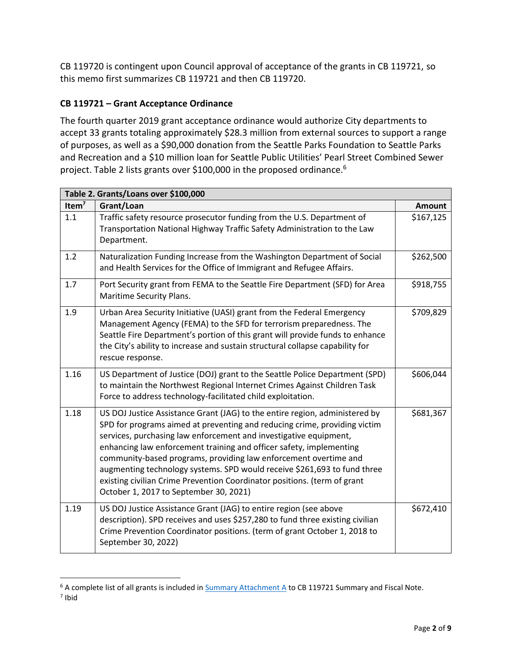CB 119720 is contingent upon Council approval of acceptance of the grants in CB 119721, so this memo first summarizes CB 119721 and then CB 119720.

# **CB 119721 – Grant Acceptance Ordinance**

The fourth quarter 2019 grant acceptance ordinance would authorize City departments to accept 33 grants totaling approximately \$28.3 million from external sources to support a range of purposes, as well as a \$90,000 donation from the Seattle Parks Foundation to Seattle Parks and Recreation and a \$10 million loan for Seattle Public Utilities' Pearl Street Combined Sewer project. Table 2 lists grants over \$100,000 in the proposed ordinance.<sup>6</sup>

| Table 2. Grants/Loans over \$100,000 |                                                                                                                                                                                                                                                                                                                                                                                                                                                                                                                                                                            |               |
|--------------------------------------|----------------------------------------------------------------------------------------------------------------------------------------------------------------------------------------------------------------------------------------------------------------------------------------------------------------------------------------------------------------------------------------------------------------------------------------------------------------------------------------------------------------------------------------------------------------------------|---------------|
| Item $7$                             | Grant/Loan                                                                                                                                                                                                                                                                                                                                                                                                                                                                                                                                                                 | <b>Amount</b> |
| 1.1                                  | Traffic safety resource prosecutor funding from the U.S. Department of<br>Transportation National Highway Traffic Safety Administration to the Law<br>Department.                                                                                                                                                                                                                                                                                                                                                                                                          | \$167,125     |
| 1.2                                  | Naturalization Funding Increase from the Washington Department of Social<br>and Health Services for the Office of Immigrant and Refugee Affairs.                                                                                                                                                                                                                                                                                                                                                                                                                           | \$262,500     |
| 1.7                                  | Port Security grant from FEMA to the Seattle Fire Department (SFD) for Area<br>Maritime Security Plans.                                                                                                                                                                                                                                                                                                                                                                                                                                                                    | \$918,755     |
| 1.9                                  | Urban Area Security Initiative (UASI) grant from the Federal Emergency<br>Management Agency (FEMA) to the SFD for terrorism preparedness. The<br>Seattle Fire Department's portion of this grant will provide funds to enhance<br>the City's ability to increase and sustain structural collapse capability for<br>rescue response.                                                                                                                                                                                                                                        | \$709,829     |
| 1.16                                 | US Department of Justice (DOJ) grant to the Seattle Police Department (SPD)<br>to maintain the Northwest Regional Internet Crimes Against Children Task<br>Force to address technology-facilitated child exploitation.                                                                                                                                                                                                                                                                                                                                                     | \$606,044     |
| 1.18                                 | US DOJ Justice Assistance Grant (JAG) to the entire region, administered by<br>SPD for programs aimed at preventing and reducing crime, providing victim<br>services, purchasing law enforcement and investigative equipment,<br>enhancing law enforcement training and officer safety, implementing<br>community-based programs, providing law enforcement overtime and<br>augmenting technology systems. SPD would receive \$261,693 to fund three<br>existing civilian Crime Prevention Coordinator positions. (term of grant<br>October 1, 2017 to September 30, 2021) | \$681,367     |
| 1.19                                 | US DOJ Justice Assistance Grant (JAG) to entire region (see above<br>description). SPD receives and uses \$257,280 to fund three existing civilian<br>Crime Prevention Coordinator positions. (term of grant October 1, 2018 to<br>September 30, 2022)                                                                                                                                                                                                                                                                                                                     | \$672,410     |

 $\overline{\phantom{a}}$ <sup>6</sup> A complete list of all grants is included i[n Summary Attachment A](http://seattle.legistar.com/View.ashx?M=F&ID=7929583&GUID=E2E552D2-04D6-478E-A90B-FA613262ACD7) to CB 119721 Summary and Fiscal Note.

<sup>7</sup> Ibid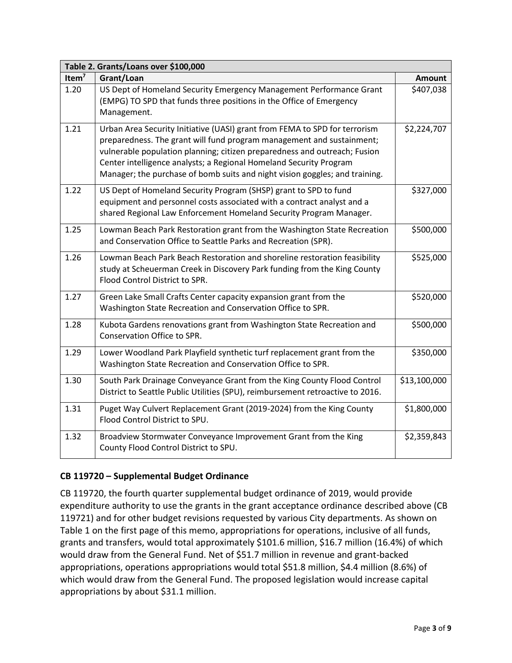| Table 2. Grants/Loans over \$100,000 |                                                                                                                                                                                                                                                                                                                                                                                       |              |  |
|--------------------------------------|---------------------------------------------------------------------------------------------------------------------------------------------------------------------------------------------------------------------------------------------------------------------------------------------------------------------------------------------------------------------------------------|--------------|--|
| Item $7$                             | Grant/Loan                                                                                                                                                                                                                                                                                                                                                                            | Amount       |  |
| 1.20                                 | US Dept of Homeland Security Emergency Management Performance Grant<br>(EMPG) TO SPD that funds three positions in the Office of Emergency<br>Management.                                                                                                                                                                                                                             | \$407,038    |  |
| 1.21                                 | Urban Area Security Initiative (UASI) grant from FEMA to SPD for terrorism<br>preparedness. The grant will fund program management and sustainment;<br>vulnerable population planning; citizen preparedness and outreach; Fusion<br>Center intelligence analysts; a Regional Homeland Security Program<br>Manager; the purchase of bomb suits and night vision goggles; and training. | \$2,224,707  |  |
| 1.22                                 | US Dept of Homeland Security Program (SHSP) grant to SPD to fund<br>equipment and personnel costs associated with a contract analyst and a<br>shared Regional Law Enforcement Homeland Security Program Manager.                                                                                                                                                                      | \$327,000    |  |
| 1.25                                 | Lowman Beach Park Restoration grant from the Washington State Recreation<br>and Conservation Office to Seattle Parks and Recreation (SPR).                                                                                                                                                                                                                                            | \$500,000    |  |
| 1.26                                 | Lowman Beach Park Beach Restoration and shoreline restoration feasibility<br>study at Scheuerman Creek in Discovery Park funding from the King County<br>Flood Control District to SPR.                                                                                                                                                                                               | \$525,000    |  |
| 1.27                                 | Green Lake Small Crafts Center capacity expansion grant from the<br>Washington State Recreation and Conservation Office to SPR.                                                                                                                                                                                                                                                       | \$520,000    |  |
| 1.28                                 | Kubota Gardens renovations grant from Washington State Recreation and<br>Conservation Office to SPR.                                                                                                                                                                                                                                                                                  | \$500,000    |  |
| 1.29                                 | Lower Woodland Park Playfield synthetic turf replacement grant from the<br>Washington State Recreation and Conservation Office to SPR.                                                                                                                                                                                                                                                | \$350,000    |  |
| 1.30                                 | South Park Drainage Conveyance Grant from the King County Flood Control<br>District to Seattle Public Utilities (SPU), reimbursement retroactive to 2016.                                                                                                                                                                                                                             | \$13,100,000 |  |
| 1.31                                 | Puget Way Culvert Replacement Grant (2019-2024) from the King County<br>Flood Control District to SPU.                                                                                                                                                                                                                                                                                | \$1,800,000  |  |
| 1.32                                 | Broadview Stormwater Conveyance Improvement Grant from the King<br>County Flood Control District to SPU.                                                                                                                                                                                                                                                                              | \$2,359,843  |  |

# **CB 119720 – Supplemental Budget Ordinance**

CB 119720, the fourth quarter supplemental budget ordinance of 2019, would provide expenditure authority to use the grants in the grant acceptance ordinance described above (CB 119721) and for other budget revisions requested by various City departments. As shown on Table 1 on the first page of this memo, appropriations for operations, inclusive of all funds, grants and transfers, would total approximately \$101.6 million, \$16.7 million (16.4%) of which would draw from the General Fund. Net of \$51.7 million in revenue and grant-backed appropriations, operations appropriations would total \$51.8 million, \$4.4 million (8.6%) of which would draw from the General Fund. The proposed legislation would increase capital appropriations by about \$31.1 million.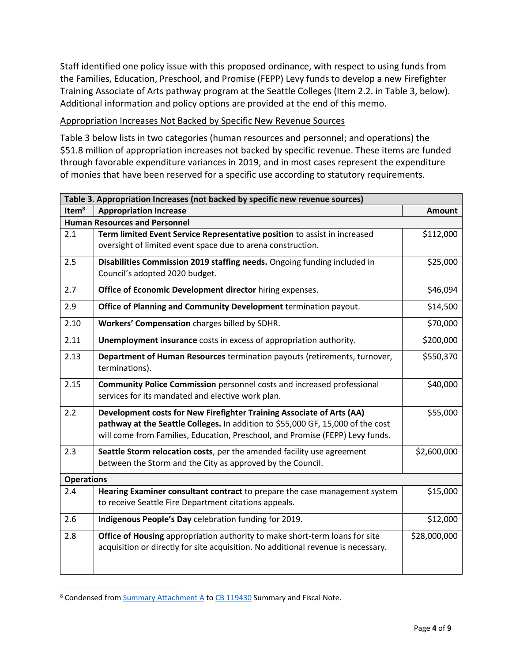Staff identified one policy issue with this proposed ordinance, with respect to using funds from the Families, Education, Preschool, and Promise (FEPP) Levy funds to develop a new Firefighter Training Associate of Arts pathway program at the Seattle Colleges (Item 2.2. in Table 3, below). Additional information and policy options are provided at the end of this memo.

### Appropriation Increases Not Backed by Specific New Revenue Sources

Table 3 below lists in two categories (human resources and personnel; and operations) the \$51.8 million of appropriation increases not backed by specific revenue. These items are funded through favorable expenditure variances in 2019, and in most cases represent the expenditure of monies that have been reserved for a specific use according to statutory requirements.

| Table 3. Appropriation Increases (not backed by specific new revenue sources) |                                                                                                                                                                                                                                           |               |  |
|-------------------------------------------------------------------------------|-------------------------------------------------------------------------------------------------------------------------------------------------------------------------------------------------------------------------------------------|---------------|--|
| Item <sup>8</sup>                                                             | <b>Appropriation Increase</b>                                                                                                                                                                                                             | <b>Amount</b> |  |
|                                                                               | <b>Human Resources and Personnel</b>                                                                                                                                                                                                      |               |  |
| 2.1                                                                           | Term limited Event Service Representative position to assist in increased<br>oversight of limited event space due to arena construction.                                                                                                  | \$112,000     |  |
| 2.5                                                                           | Disabilities Commission 2019 staffing needs. Ongoing funding included in<br>Council's adopted 2020 budget.                                                                                                                                | \$25,000      |  |
| 2.7                                                                           | Office of Economic Development director hiring expenses.                                                                                                                                                                                  | \$46,094      |  |
| 2.9                                                                           | Office of Planning and Community Development termination payout.                                                                                                                                                                          | \$14,500      |  |
| 2.10                                                                          | Workers' Compensation charges billed by SDHR.                                                                                                                                                                                             | \$70,000      |  |
| 2.11                                                                          | Unemployment insurance costs in excess of appropriation authority.                                                                                                                                                                        | \$200,000     |  |
| 2.13                                                                          | Department of Human Resources termination payouts (retirements, turnover,<br>terminations).                                                                                                                                               | \$550,370     |  |
| 2.15                                                                          | <b>Community Police Commission</b> personnel costs and increased professional<br>services for its mandated and elective work plan.                                                                                                        | \$40,000      |  |
| 2.2                                                                           | Development costs for New Firefighter Training Associate of Arts (AA)<br>pathway at the Seattle Colleges. In addition to \$55,000 GF, 15,000 of the cost<br>will come from Families, Education, Preschool, and Promise (FEPP) Levy funds. | \$55,000      |  |
| 2.3                                                                           | Seattle Storm relocation costs, per the amended facility use agreement<br>between the Storm and the City as approved by the Council.                                                                                                      | \$2,600,000   |  |
| <b>Operations</b>                                                             |                                                                                                                                                                                                                                           |               |  |
| 2.4                                                                           | Hearing Examiner consultant contract to prepare the case management system<br>to receive Seattle Fire Department citations appeals.                                                                                                       | \$15,000      |  |
| 2.6                                                                           | Indigenous People's Day celebration funding for 2019.                                                                                                                                                                                     | \$12,000      |  |
| 2.8                                                                           | Office of Housing appropriation authority to make short-term loans for site<br>acquisition or directly for site acquisition. No additional revenue is necessary.                                                                          | \$28,000,000  |  |

<sup>&</sup>lt;sup>8</sup> Condensed from **Summary [Attachment A](http://seattle.legistar.com/gateway.aspx?M=F&ID=8297925d-3bc1-48c2-80f0-af1bf0f3319c.docx)** to [CB 119430](http://seattle.legistar.com/LegislationDetail.aspx?ID=3774503&GUID=C28433F9-9F06-480C-A80A-82BA02370FA6&Options=ID|Text|&Search=119430) Summary and Fiscal Note.

 $\overline{\phantom{a}}$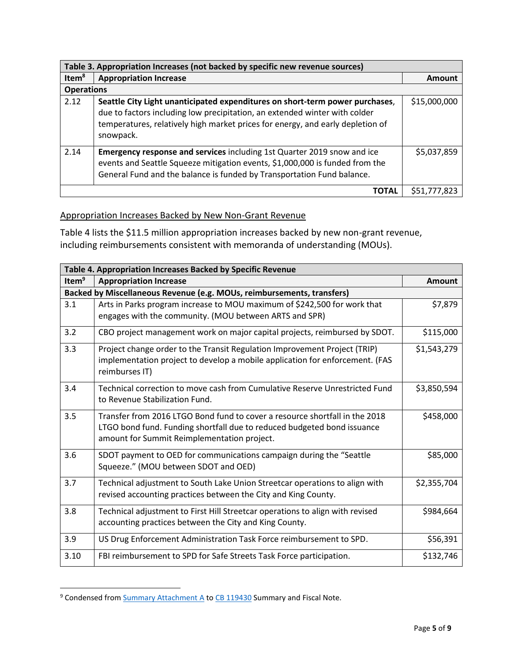| Table 3. Appropriation Increases (not backed by specific new revenue sources) |                                                                                                                                                                                                                                                           |              |
|-------------------------------------------------------------------------------|-----------------------------------------------------------------------------------------------------------------------------------------------------------------------------------------------------------------------------------------------------------|--------------|
| Item <sup>8</sup>                                                             | <b>Appropriation Increase</b>                                                                                                                                                                                                                             | Amount       |
| <b>Operations</b>                                                             |                                                                                                                                                                                                                                                           |              |
| 2.12                                                                          | Seattle City Light unanticipated expenditures on short-term power purchases,<br>due to factors including low precipitation, an extended winter with colder<br>temperatures, relatively high market prices for energy, and early depletion of<br>snowpack. | \$15,000,000 |
| 2.14                                                                          | <b>Emergency response and services</b> including 1st Quarter 2019 snow and ice<br>events and Seattle Squeeze mitigation events, \$1,000,000 is funded from the<br>General Fund and the balance is funded by Transportation Fund balance.                  | \$5,037,859  |
| <b>TOTAL</b>                                                                  |                                                                                                                                                                                                                                                           | \$51,777.823 |

#### Appropriation Increases Backed by New Non-Grant Revenue

Table 4 lists the \$11.5 million appropriation increases backed by new non-grant revenue, including reimbursements consistent with memoranda of understanding (MOUs).

| Table 4. Appropriation Increases Backed by Specific Revenue |                                                                                                                        |               |  |
|-------------------------------------------------------------|------------------------------------------------------------------------------------------------------------------------|---------------|--|
| Item <sup>9</sup>                                           | <b>Appropriation Increase</b>                                                                                          | <b>Amount</b> |  |
|                                                             | Backed by Miscellaneous Revenue (e.g. MOUs, reimbursements, transfers)                                                 |               |  |
| 3.1                                                         | Arts in Parks program increase to MOU maximum of \$242,500 for work that                                               | \$7,879       |  |
|                                                             | engages with the community. (MOU between ARTS and SPR)                                                                 |               |  |
| 3.2                                                         | CBO project management work on major capital projects, reimbursed by SDOT.                                             | \$115,000     |  |
| 3.3                                                         | Project change order to the Transit Regulation Improvement Project (TRIP)                                              | \$1,543,279   |  |
|                                                             | implementation project to develop a mobile application for enforcement. (FAS<br>reimburses IT)                         |               |  |
| 3.4                                                         | Technical correction to move cash from Cumulative Reserve Unrestricted Fund                                            | \$3,850,594   |  |
|                                                             | to Revenue Stabilization Fund.                                                                                         |               |  |
| 3.5                                                         | Transfer from 2016 LTGO Bond fund to cover a resource shortfall in the 2018                                            | \$458,000     |  |
|                                                             | LTGO bond fund. Funding shortfall due to reduced budgeted bond issuance<br>amount for Summit Reimplementation project. |               |  |
| 3.6                                                         | SDOT payment to OED for communications campaign during the "Seattle                                                    | \$85,000      |  |
|                                                             | Squeeze." (MOU between SDOT and OED)                                                                                   |               |  |
| 3.7                                                         | Technical adjustment to South Lake Union Streetcar operations to align with                                            | \$2,355,704   |  |
|                                                             | revised accounting practices between the City and King County.                                                         |               |  |
| 3.8                                                         | Technical adjustment to First Hill Streetcar operations to align with revised                                          | \$984,664     |  |
|                                                             | accounting practices between the City and King County.                                                                 |               |  |
| 3.9                                                         | US Drug Enforcement Administration Task Force reimbursement to SPD.                                                    | \$56,391      |  |
| 3.10                                                        | FBI reimbursement to SPD for Safe Streets Task Force participation.                                                    | \$132,746     |  |

<sup>&</sup>lt;sup>9</sup> Condensed from **Summary Attachment A** to [CB 119430](http://seattle.legistar.com/LegislationDetail.aspx?ID=3774503&GUID=C28433F9-9F06-480C-A80A-82BA02370FA6&Options=ID|Text|&Search=119430) Summary and Fiscal Note.

 $\overline{\phantom{a}}$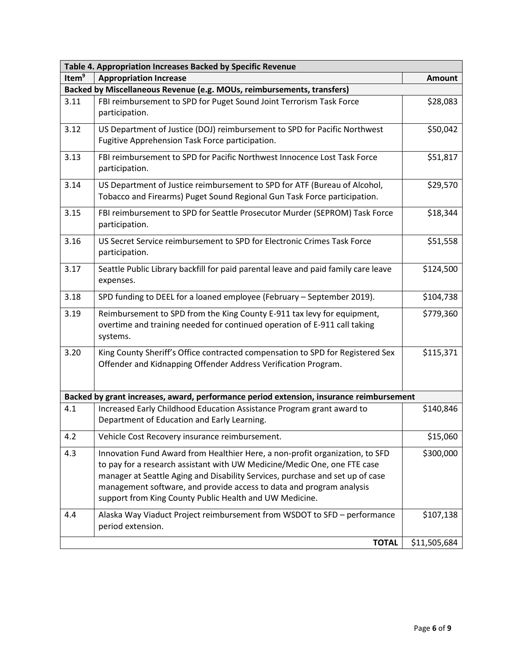| Table 4. Appropriation Increases Backed by Specific Revenue |                                                                                                                                                                                                                                                                                                                                                                              |               |  |
|-------------------------------------------------------------|------------------------------------------------------------------------------------------------------------------------------------------------------------------------------------------------------------------------------------------------------------------------------------------------------------------------------------------------------------------------------|---------------|--|
| Item <sup>9</sup>                                           | <b>Appropriation Increase</b>                                                                                                                                                                                                                                                                                                                                                | <b>Amount</b> |  |
|                                                             | Backed by Miscellaneous Revenue (e.g. MOUs, reimbursements, transfers)                                                                                                                                                                                                                                                                                                       |               |  |
| 3.11                                                        | FBI reimbursement to SPD for Puget Sound Joint Terrorism Task Force<br>participation.                                                                                                                                                                                                                                                                                        | \$28,083      |  |
| 3.12                                                        | US Department of Justice (DOJ) reimbursement to SPD for Pacific Northwest<br>Fugitive Apprehension Task Force participation.                                                                                                                                                                                                                                                 | \$50,042      |  |
| 3.13                                                        | FBI reimbursement to SPD for Pacific Northwest Innocence Lost Task Force<br>participation.                                                                                                                                                                                                                                                                                   | \$51,817      |  |
| 3.14                                                        | US Department of Justice reimbursement to SPD for ATF (Bureau of Alcohol,<br>Tobacco and Firearms) Puget Sound Regional Gun Task Force participation.                                                                                                                                                                                                                        | \$29,570      |  |
| 3.15                                                        | FBI reimbursement to SPD for Seattle Prosecutor Murder (SEPROM) Task Force<br>participation.                                                                                                                                                                                                                                                                                 | \$18,344      |  |
| 3.16                                                        | US Secret Service reimbursement to SPD for Electronic Crimes Task Force<br>participation.                                                                                                                                                                                                                                                                                    | \$51,558      |  |
| 3.17                                                        | Seattle Public Library backfill for paid parental leave and paid family care leave<br>expenses.                                                                                                                                                                                                                                                                              | \$124,500     |  |
| 3.18                                                        | SPD funding to DEEL for a loaned employee (February - September 2019).                                                                                                                                                                                                                                                                                                       | \$104,738     |  |
| 3.19                                                        | Reimbursement to SPD from the King County E-911 tax levy for equipment,<br>overtime and training needed for continued operation of E-911 call taking<br>systems.                                                                                                                                                                                                             | \$779,360     |  |
| 3.20                                                        | King County Sheriff's Office contracted compensation to SPD for Registered Sex<br>Offender and Kidnapping Offender Address Verification Program.                                                                                                                                                                                                                             | \$115,371     |  |
|                                                             | Backed by grant increases, award, performance period extension, insurance reimbursement                                                                                                                                                                                                                                                                                      |               |  |
| 4.1                                                         | Increased Early Childhood Education Assistance Program grant award to<br>Department of Education and Early Learning.                                                                                                                                                                                                                                                         | \$140,846     |  |
| 4.2                                                         | Vehicle Cost Recovery insurance reimbursement.                                                                                                                                                                                                                                                                                                                               | \$15,060      |  |
| 4.3                                                         | Innovation Fund Award from Healthier Here, a non-profit organization, to SFD<br>to pay for a research assistant with UW Medicine/Medic One, one FTE case<br>manager at Seattle Aging and Disability Services, purchase and set up of case<br>management software, and provide access to data and program analysis<br>support from King County Public Health and UW Medicine. | \$300,000     |  |
| 4.4                                                         | Alaska Way Viaduct Project reimbursement from WSDOT to SFD - performance<br>period extension.                                                                                                                                                                                                                                                                                | \$107,138     |  |
|                                                             | <b>TOTAL</b>                                                                                                                                                                                                                                                                                                                                                                 | \$11,505,684  |  |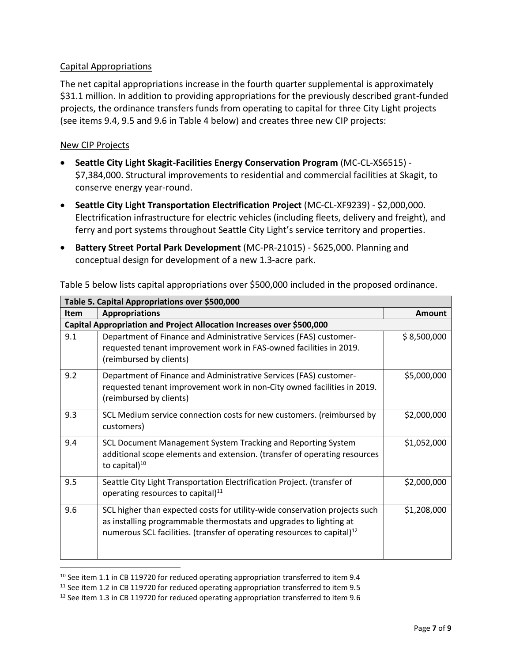# Capital Appropriations

The net capital appropriations increase in the fourth quarter supplemental is approximately \$31.1 million. In addition to providing appropriations for the previously described grant-funded projects, the ordinance transfers funds from operating to capital for three City Light projects (see items 9.4, 9.5 and 9.6 in Table 4 below) and creates three new CIP projects:

### New CIP Projects

 $\overline{a}$ 

- **Seattle City Light Skagit-Facilities Energy Conservation Program** (MC-CL-XS6515) \$7,384,000. Structural improvements to residential and commercial facilities at Skagit, to conserve energy year-round.
- **Seattle City Light Transportation Electrification Project** (MC-CL-XF9239) \$2,000,000. Electrification infrastructure for electric vehicles (including fleets, delivery and freight), and ferry and port systems throughout Seattle City Light's service territory and properties.
- **Battery Street Portal Park Development** (MC-PR-21015) \$625,000. Planning and conceptual design for development of a new 1.3-acre park.

| Table 5. Capital Appropriations over \$500,000 |                                                                                                                                                                                                                                         |             |  |
|------------------------------------------------|-----------------------------------------------------------------------------------------------------------------------------------------------------------------------------------------------------------------------------------------|-------------|--|
| <b>Item</b>                                    | <b>Appropriations</b>                                                                                                                                                                                                                   | Amount      |  |
|                                                | Capital Appropriation and Project Allocation Increases over \$500,000                                                                                                                                                                   |             |  |
| 9.1                                            | Department of Finance and Administrative Services (FAS) customer-<br>requested tenant improvement work in FAS-owned facilities in 2019.<br>(reimbursed by clients)                                                                      | \$8,500,000 |  |
| 9.2                                            | Department of Finance and Administrative Services (FAS) customer-<br>requested tenant improvement work in non-City owned facilities in 2019.<br>(reimbursed by clients)                                                                 | \$5,000,000 |  |
| 9.3                                            | SCL Medium service connection costs for new customers. (reimbursed by<br>customers)                                                                                                                                                     | \$2,000,000 |  |
| 9.4                                            | SCL Document Management System Tracking and Reporting System<br>additional scope elements and extension. (transfer of operating resources<br>to capital $)^{10}$                                                                        | \$1,052,000 |  |
| 9.5                                            | Seattle City Light Transportation Electrification Project. (transfer of<br>operating resources to capital) <sup>11</sup>                                                                                                                | \$2,000,000 |  |
| 9.6                                            | SCL higher than expected costs for utility-wide conservation projects such<br>as installing programmable thermostats and upgrades to lighting at<br>numerous SCL facilities. (transfer of operating resources to capital) <sup>12</sup> | \$1,208,000 |  |

Table 5 below lists capital appropriations over \$500,000 included in the proposed ordinance.

 $10$  See item 1.1 in CB 119720 for reduced operating appropriation transferred to item 9.4

 $11$  See item 1.2 in CB 119720 for reduced operating appropriation transferred to item 9.5

<sup>&</sup>lt;sup>12</sup> See item 1.3 in CB 119720 for reduced operating appropriation transferred to item 9.6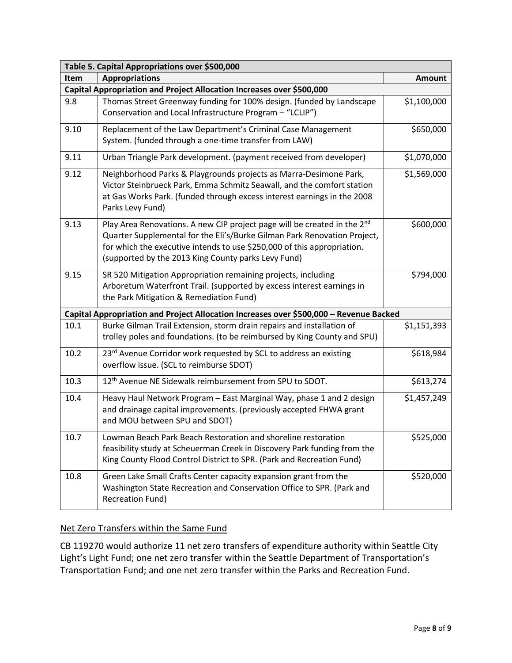| Table 5. Capital Appropriations over \$500,000 |                                                                                                                                                                                                                                                                                                    |               |  |
|------------------------------------------------|----------------------------------------------------------------------------------------------------------------------------------------------------------------------------------------------------------------------------------------------------------------------------------------------------|---------------|--|
| <b>Item</b>                                    | <b>Appropriations</b>                                                                                                                                                                                                                                                                              | <b>Amount</b> |  |
|                                                | Capital Appropriation and Project Allocation Increases over \$500,000                                                                                                                                                                                                                              |               |  |
| 9.8                                            | Thomas Street Greenway funding for 100% design. (funded by Landscape<br>Conservation and Local Infrastructure Program - "LCLIP")                                                                                                                                                                   | \$1,100,000   |  |
| 9.10                                           | Replacement of the Law Department's Criminal Case Management<br>System. (funded through a one-time transfer from LAW)                                                                                                                                                                              | \$650,000     |  |
| 9.11                                           | Urban Triangle Park development. (payment received from developer)                                                                                                                                                                                                                                 | \$1,070,000   |  |
| 9.12                                           | Neighborhood Parks & Playgrounds projects as Marra-Desimone Park,<br>Victor Steinbrueck Park, Emma Schmitz Seawall, and the comfort station<br>at Gas Works Park. (funded through excess interest earnings in the 2008<br>Parks Levy Fund)                                                         | \$1,569,000   |  |
| 9.13                                           | Play Area Renovations. A new CIP project page will be created in the 2 <sup>nd</sup><br>Quarter Supplemental for the Eli's/Burke Gilman Park Renovation Project,<br>for which the executive intends to use \$250,000 of this appropriation.<br>(supported by the 2013 King County parks Levy Fund) | \$600,000     |  |
| 9.15                                           | SR 520 Mitigation Appropriation remaining projects, including<br>Arboretum Waterfront Trail. (supported by excess interest earnings in<br>the Park Mitigation & Remediation Fund)                                                                                                                  | \$794,000     |  |
|                                                | Capital Appropriation and Project Allocation Increases over \$500,000 - Revenue Backed                                                                                                                                                                                                             |               |  |
| 10.1                                           | Burke Gilman Trail Extension, storm drain repairs and installation of<br>trolley poles and foundations. (to be reimbursed by King County and SPU)                                                                                                                                                  | \$1,151,393   |  |
| 10.2                                           | 23rd Avenue Corridor work requested by SCL to address an existing<br>overflow issue. (SCL to reimburse SDOT)                                                                                                                                                                                       | \$618,984     |  |
| 10.3                                           | 12 <sup>th</sup> Avenue NE Sidewalk reimbursement from SPU to SDOT.                                                                                                                                                                                                                                | \$613,274     |  |
| 10.4                                           | Heavy Haul Network Program - East Marginal Way, phase 1 and 2 design<br>and drainage capital improvements. (previously accepted FHWA grant<br>and MOU between SPU and SDOT)                                                                                                                        | \$1,457,249   |  |
| 10.7                                           | Lowman Beach Park Beach Restoration and shoreline restoration<br>feasibility study at Scheuerman Creek in Discovery Park funding from the<br>King County Flood Control District to SPR. (Park and Recreation Fund)                                                                                 | \$525,000     |  |
| 10.8                                           | Green Lake Small Crafts Center capacity expansion grant from the<br>Washington State Recreation and Conservation Office to SPR. (Park and<br><b>Recreation Fund)</b>                                                                                                                               | \$520,000     |  |

# Net Zero Transfers within the Same Fund

CB 119270 would authorize 11 net zero transfers of expenditure authority within Seattle City Light's Light Fund; one net zero transfer within the Seattle Department of Transportation's Transportation Fund; and one net zero transfer within the Parks and Recreation Fund.